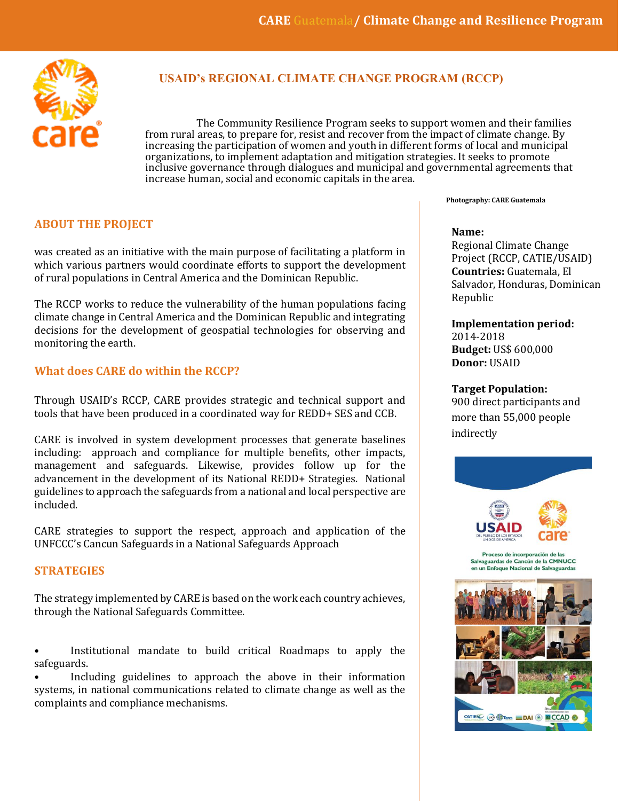

## **USAID's REGIONAL CLIMATE CHANGE PROGRAM (RCCP)**

The Community Resilience Program seeks to support women and their families from rural areas, to prepare for, resist and recover from the impact of climate change. By increasing the participation of women and youth in different forms of local and municipal organizations, to implement adaptation and mitigation strategies. It seeks to promote inclusive governance through dialogues and municipal and governmental agreements that increase human, social and economic capitals in the area.

## **ABOUT THE PROJECT**

was created as an initiative with the main purpose of facilitating a platform in which various partners would coordinate efforts to support the development of rural populations in Central America and the Dominican Republic.

The RCCP works to reduce the vulnerability of the human populations facing climate change in Central America and the Dominican Republic and integrating decisions for the development of geospatial technologies for observing and monitoring the earth.

### **What does CARE do within the RCCP?**

Through USAID's RCCP, CARE provides strategic and technical support and tools that have been produced in a coordinated way for REDD+ SES and CCB.

CARE is involved in system development processes that generate baselines including: approach and compliance for multiple benefits, other impacts, management and safeguards. Likewise, provides follow up for the advancement in the development of its National REDD+ Strategies. National guidelines to approach the safeguards from a national and local perspective are included.

CARE strategies to support the respect, approach and application of the UNFCCC's Cancun Safeguards in a National Safeguards Approach

### **STRATEGIES**

The strategy implemented by CARE is based on the work each country achieves, through the National Safeguards Committee.

• Institutional mandate to build critical Roadmaps to apply the safeguards.

Including guidelines to approach the above in their information systems, in national communications related to climate change as well as the complaints and compliance mechanisms.

#### **Photography: CARE Guatemala**

#### **Name:**

Regional Climate Change Project (RCCP, CATIE/USAID) **Countries:** Guatemala, El Salvador, Honduras, Dominican Republic

**Implementation period:**  2014-2018 **Budget:** US\$ 600,000 **Donor:** USAID

**Target Population:** 900 direct participants and more than 55,000 people indirectly



Proceso de incorporación de las Salvaguardas de Cancún de la CMNUCC en un Enfogue Nacional de Salvag